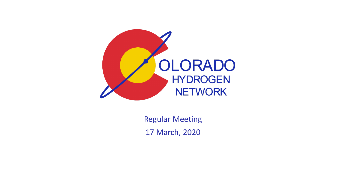

Regular Meeting 17 March, 2020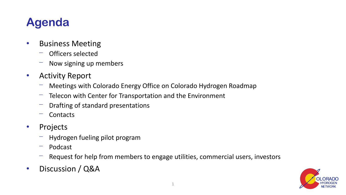### **Agenda**

- Business Meeting
	- Officers selected
	- Now signing up members
- Activity Report
	- Meetings with Colorado Energy Office on Colorado Hydrogen Roadmap
	- Telecon with Center for Transportation and the Environment
	- Drafting of standard presentations
	- **Contacts**
- Projects
	- ⎻ Hydrogen fueling pilot program
	- Podcast
	- Request for help from members to engage utilities, commercial users, investors
- Discussion / Q&A

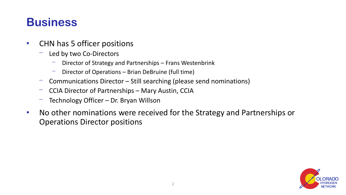#### **Business**

- CHN has 5 officer positions
	- Led by two Co-Directors
		- Director of Strategy and Partnerships Frans Westenbrink
		- Director of Operations Brian DeBruine (full time)
	- Communications Director Still searching (please send nominations)
	- CCIA Director of Partnerships Mary Austin, CCIA
	- Technology Officer Dr. Bryan Willson
- No other nominations were received for the Strategy and Partnerships or Operations Director positions

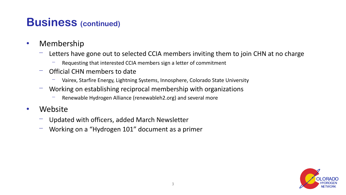#### **Business (continued)**

- Membership
	- Letters have gone out to selected CCIA members inviting them to join CHN at no charge
		- Requesting that interested CCIA members sign a letter of commitment
	- ⎻ Official CHN members to date
		- Vairex, Starfire Energy, Lightning Systems, Innosphere, Colorado State University
	- Working on establishing reciprocal membership with organizations
		- Renewable Hydrogen Alliance (renewableh2.org) and several more
- Website
	- Updated with officers, added March Newsletter
	- Working on a "Hydrogen 101" document as a primer

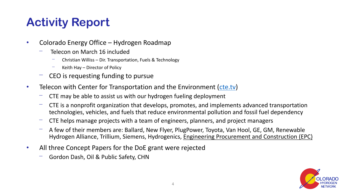# **Activity Report**

- Colorado Energy Office Hydrogen Roadmap
	- Telecon on March 16 included
		- ⎻ Christian Williss Dir. Transportation, Fuels & Technology
		- Keith Hay Director of Policy
	- CEO is requesting funding to pursue
- Telecon with Center for Transportation and the Environment [\(cte.tv](cte.tv))
	- CTE may be able to assist us with our hydrogen fueling deployment
	- CTE is a nonprofit organization that develops, promotes, and implements advanced transportation technologies, vehicles, and fuels that reduce environmental pollution and fossil fuel dependency
	- ⎻ CTE helps manage projects with a team of engineers, planners, and project managers
	- A few of their members are: Ballard, New Flyer, PlugPower, Toyota, Van Hool, GE, GM, Renewable Hydrogen Alliance, Trillium, Siemens, Hydrogenics, Engineering Procurement and Construction (EPC)
- All three Concept Papers for the DoE grant were rejected
	- ⎻ Gordon Dash, Oil & Public Safety, CHN

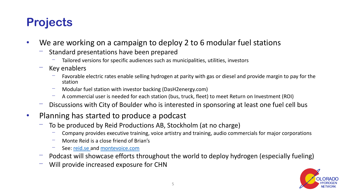# **Projects**

- We are working on a campaign to deploy 2 to 6 modular fuel stations
	- Standard presentations have been prepared
		- Tailored versions for specific audiences such as municipalities, utilities, investors
	- Key enablers
		- Favorable electric rates enable selling hydrogen at parity with gas or diesel and provide margin to pay for the station
		- Modular fuel station with investor backing (DasH2energy.com)
		- A commercial user is needed for each station (bus, truck, fleet) to meet Return on Investment (ROI)
	- Discussions with City of Boulder who is interested in sponsoring at least one fuel cell bus
- Planning has started to produce a podcast
	- To be produced by Reid Productions AB, Stockholm (at no charge)
		- Company provides executive training, voice artistry and training, audio commercials for major corporations
		- Monte Reid is a close friend of Brian's
		- See: [reid.se a](reid.se)nd [montevoice.com](http://montevoice.com/)
	- Podcast will showcase efforts throughout the world to deploy hydrogen (especially fueling)
	- Will provide increased exposure for CHN